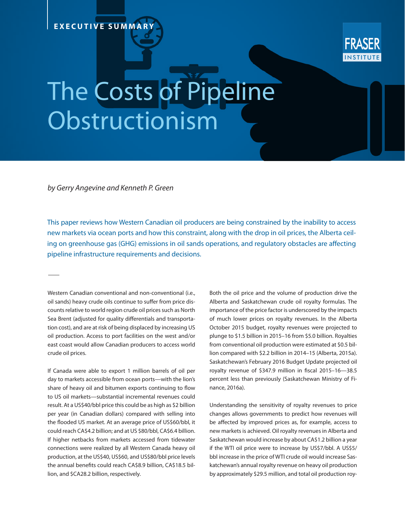## **EXECUTIVE SUMMARY**



## The Costs of Pipeline Obstructionism

*by Gerry Angevine and Kenneth P. Green* 

This paper reviews how Western Canadian oil producers are being constrained by the inability to access new markets via ocean ports and how this constraint, along with the drop in oil prices, the Alberta ceiling on greenhouse gas (GHG) emissions in oil sands operations, and regulatory obstacles are affecting pipeline infrastructure requirements and decisions.

Western Canadian conventional and non-conventional (i.e., oil sands) heavy crude oils continue to suffer from price discounts relative to world region crude oil prices such as North Sea Brent (adjusted for quality differentials and transportation cost), and are at risk of being displaced by increasing US oil production. Access to port facilities on the west and/or east coast would allow Canadian producers to access world crude oil prices.

If Canada were able to export 1 million barrels of oil per day to markets accessible from ocean ports—with the lion's share of heavy oil and bitumen exports continuing to flow to US oil markets—substantial incremental revenues could result. At a US\$40/bbl price this could be as high as \$2 billion per year (in Canadian dollars) compared with selling into the flooded US market. At an average price of US\$60/bbl, it could reach CA\$4.2 billion; and at US \$80/bbl, CA\$6.4 billion. If higher netbacks from markets accessed from tidewater connections were realized by all Western Canada heavy oil production, at the US\$40, US\$60, and US\$80/bbl price levels the annual benefits could reach CA\$8.9 billion, CA\$18.5 billion, and \$CA28.2 billion, respectively.

Both the oil price and the volume of production drive the Alberta and Saskatchewan crude oil royalty formulas. The importance of the price factor is underscored by the impacts of much lower prices on royalty revenues. In the Alberta October 2015 budget, royalty revenues were projected to plunge to \$1.5 billion in 2015–16 from \$5.0 billion. Royalties from conventional oil production were estimated at \$0.5 billion compared with \$2.2 billion in 2014–15 (Alberta, 2015a). Saskatchewan's February 2016 Budget Update projected oil royalty revenue of \$347.9 million in fiscal 2015–16—38.5 percent less than previously (Saskatchewan Ministry of Finance, 2016a).

Understanding the sensitivity of royalty revenues to price changes allows governments to predict how revenues will be affected by improved prices as, for example, access to new markets is achieved. Oil royalty revenues in Alberta and Saskatchewan would increase by about CA\$1.2 billion a year if the WTI oil price were to increase by US\$7/bbl. A US\$5/ bbl increase in the price of WTI crude oil would increase Saskatchewan's annual royalty revenue on heavy oil production by approximately \$29.5 million, and total oil production roy